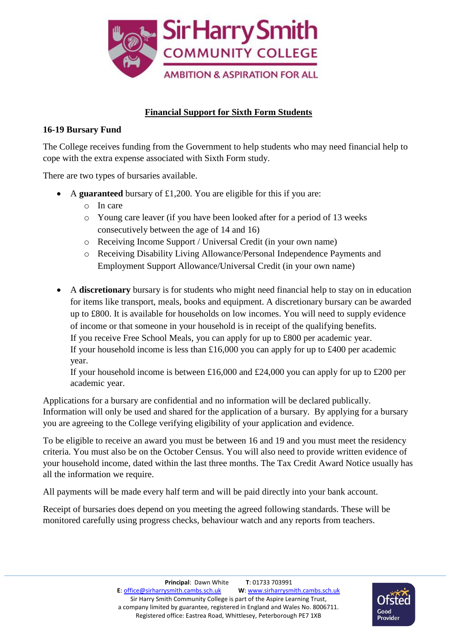

## **Financial Support for Sixth Form Students**

## **16-19 Bursary Fund**

The College receives funding from the Government to help students who may need financial help to cope with the extra expense associated with Sixth Form study.

There are two types of bursaries available.

- A **guaranteed** bursary of £1,200. You are eligible for this if you are:
	- o In care
	- o Young care leaver (if you have been looked after for a period of 13 weeks consecutively between the age of 14 and 16)
	- o Receiving Income Support / Universal Credit (in your own name)
	- o Receiving Disability Living Allowance/Personal Independence Payments and Employment Support Allowance/Universal Credit (in your own name)
- A **discretionary** bursary is for students who might need financial help to stay on in education for items like transport, meals, books and equipment. A discretionary bursary can be awarded up to £800. It is available for households on low incomes. You will need to supply evidence of income or that someone in your household is in receipt of the qualifying benefits. If you receive Free School Meals, you can apply for up to £800 per academic year. If your household income is less than  $£16,000$  you can apply for up to  $£400$  per academic year.

If your household income is between  $£16,000$  and  $£24,000$  you can apply for up to  $£200$  per academic year.

Applications for a bursary are confidential and no information will be declared publically. Information will only be used and shared for the application of a bursary. By applying for a bursary you are agreeing to the College verifying eligibility of your application and evidence.

To be eligible to receive an award you must be between 16 and 19 and you must meet the residency criteria. You must also be on the October Census. You will also need to provide written evidence of your household income, dated within the last three months. The Tax Credit Award Notice usually has all the information we require.

All payments will be made every half term and will be paid directly into your bank account.

Receipt of bursaries does depend on you meeting the agreed following standards. These will be monitored carefully using progress checks, behaviour watch and any reports from teachers.